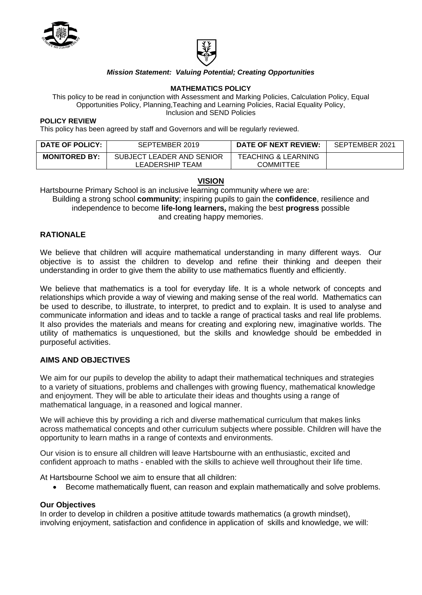



## *Mission Statement: Valuing Potential; Creating Opportunities*

#### **MATHEMATICS POLICY**

This policy to be read in conjunction with Assessment and Marking Policies, Calculation Policy, Equal Opportunities Policy, Planning,Teaching and Learning Policies, Racial Equality Policy, Inclusion and SEND Policies

#### **POLICY REVIEW**

This policy has been agreed by staff and Governors and will be regularly reviewed.

| <b>DATE OF POLICY:</b> | SEPTEMBER 2019            | <b>DATE OF NEXT REVIEW:</b>    | SEPTEMBER 2021 |
|------------------------|---------------------------|--------------------------------|----------------|
| <b>MONITORED BY:</b>   | SUBJECT LEADER AND SENIOR | <b>TEACHING &amp; LEARNING</b> |                |
|                        | LEADERSHIP TEAM           | <b>COMMITTEE</b>               |                |

#### **VISION**

Hartsbourne Primary School is an inclusive learning community where we are:

Building a strong school **community**; inspiring pupils to gain the **confidence**, resilience and independence to become **life-long learners,** making the best **progress** possible and creating happy memories.

### **RATIONALE**

We believe that children will acquire mathematical understanding in many different ways. Our objective is to assist the children to develop and refine their thinking and deepen their understanding in order to give them the ability to use mathematics fluently and efficiently.

We believe that mathematics is a tool for everyday life. It is a whole network of concepts and relationships which provide a way of viewing and making sense of the real world. Mathematics can be used to describe, to illustrate, to interpret, to predict and to explain. It is used to analyse and communicate information and ideas and to tackle a range of practical tasks and real life problems. It also provides the materials and means for creating and exploring new, imaginative worlds. The utility of mathematics is unquestioned, but the skills and knowledge should be embedded in purposeful activities.

### **AIMS AND OBJECTIVES**

We aim for our pupils to develop the ability to adapt their mathematical techniques and strategies to a variety of situations, problems and challenges with growing fluency, mathematical knowledge and enjoyment. They will be able to articulate their ideas and thoughts using a range of mathematical language, in a reasoned and logical manner.

We will achieve this by providing a rich and diverse mathematical curriculum that makes links across mathematical concepts and other curriculum subjects where possible. Children will have the opportunity to learn maths in a range of contexts and environments.

Our vision is to ensure all children will leave Hartsbourne with an enthusiastic, excited and confident approach to maths - enabled with the skills to achieve well throughout their life time.

At Hartsbourne School we aim to ensure that all children:

• Become mathematically fluent, can reason and explain mathematically and solve problems.

#### **Our Objectives**

In order to develop in children a positive attitude towards mathematics (a growth mindset), involving enjoyment, satisfaction and confidence in application of skills and knowledge, we will: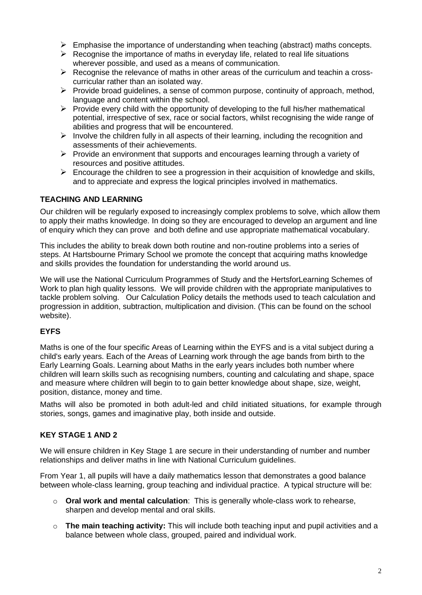- $\triangleright$  Emphasise the importance of understanding when teaching (abstract) maths concepts.
- $\triangleright$  Recognise the importance of maths in everyday life, related to real life situations wherever possible, and used as a means of communication.
- $\triangleright$  Recognise the relevance of maths in other areas of the curriculum and teachin a crosscurricular rather than an isolated way.
- ➢ Provide broad guidelines, a sense of common purpose, continuity of approach, method, language and content within the school.
- $\triangleright$  Provide every child with the opportunity of developing to the full his/her mathematical potential, irrespective of sex, race or social factors, whilst recognising the wide range of abilities and progress that will be encountered.
- $\triangleright$  Involve the children fully in all aspects of their learning, including the recognition and assessments of their achievements.
- ➢ Provide an environment that supports and encourages learning through a variety of resources and positive attitudes.
- $\triangleright$  Encourage the children to see a progression in their acquisition of knowledge and skills, and to appreciate and express the logical principles involved in mathematics.

# **TEACHING AND LEARNING**

Our children will be regularly exposed to increasingly complex problems to solve, which allow them to apply their maths knowledge. In doing so they are encouraged to develop an argument and line of enquiry which they can prove and both define and use appropriate mathematical vocabulary.

This includes the ability to break down both routine and non-routine problems into a series of steps. At Hartsbourne Primary School we promote the concept that acquiring maths knowledge and skills provides the foundation for understanding the world around us.

We will use the National Curriculum Programmes of Study and the HertsforLearning Schemes of Work to plan high quality lessons. We will provide children with the appropriate manipulatives to tackle problem solving. Our Calculation Policy details the methods used to teach calculation and progression in addition, subtraction, multiplication and division. (This can be found on the school website).

# **EYFS**

Maths is one of the four specific Areas of Learning within the EYFS and is a vital subject during a child's early years. Each of the Areas of Learning work through the age bands from birth to the Early Learning Goals. Learning about Maths in the early years includes both number where children will learn skills such as recognising numbers, counting and calculating and shape, space and measure where children will begin to to gain better knowledge about shape, size, weight, position, distance, money and time.

Maths will also be promoted in both adult-led and child initiated situations, for example through stories, songs, games and imaginative play, both inside and outside.

# **KEY STAGE 1 AND 2**

We will ensure children in Key Stage 1 are secure in their understanding of number and number relationships and deliver maths in line with National Curriculum guidelines.

From Year 1, all pupils will have a daily mathematics lesson that demonstrates a good balance between whole-class learning, group teaching and individual practice. A typical structure will be:

- o **Oral work and mental calculation**: This is generally whole-class work to rehearse, sharpen and develop mental and oral skills.
- o **The main teaching activity:** This will include both teaching input and pupil activities and a balance between whole class, grouped, paired and individual work.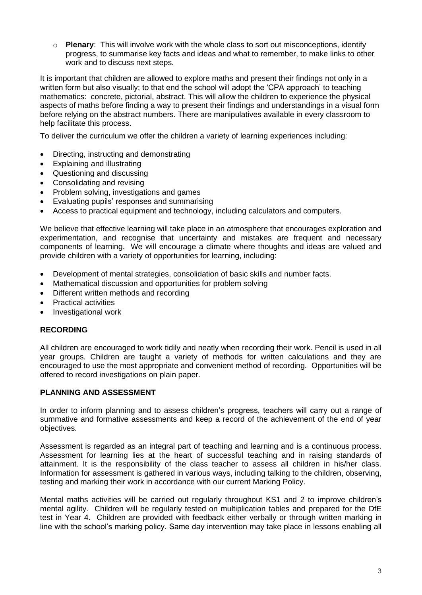o **Plenary**: This will involve work with the whole class to sort out misconceptions, identify progress, to summarise key facts and ideas and what to remember, to make links to other work and to discuss next steps.

It is important that children are allowed to explore maths and present their findings not only in a written form but also visually; to that end the school will adopt the 'CPA approach' to teaching mathematics: concrete, pictorial, abstract. This will allow the children to experience the physical aspects of maths before finding a way to present their findings and understandings in a visual form before relying on the abstract numbers. There are manipulatives available in every classroom to help facilitate this process.

To deliver the curriculum we offer the children a variety of learning experiences including:

- Directing, instructing and demonstrating
- Explaining and illustrating
- Questioning and discussing
- Consolidating and revising
- Problem solving, investigations and games
- Evaluating pupils' responses and summarising
- Access to practical equipment and technology, including calculators and computers.

We believe that effective learning will take place in an atmosphere that encourages exploration and experimentation, and recognise that uncertainty and mistakes are frequent and necessary components of learning. We will encourage a climate where thoughts and ideas are valued and provide children with a variety of opportunities for learning, including:

- Development of mental strategies, consolidation of basic skills and number facts.
- Mathematical discussion and opportunities for problem solving
- Different written methods and recording
- Practical activities
- Investigational work

## **RECORDING**

All children are encouraged to work tidily and neatly when recording their work. Pencil is used in all year groups. Children are taught a variety of methods for written calculations and they are encouraged to use the most appropriate and convenient method of recording. Opportunities will be offered to record investigations on plain paper.

## **PLANNING AND ASSESSMENT**

In order to inform planning and to assess children's progress, teachers will carry out a range of summative and formative assessments and keep a record of the achievement of the end of year objectives.

Assessment is regarded as an integral part of teaching and learning and is a continuous process. Assessment for learning lies at the heart of successful teaching and in raising standards of attainment. It is the responsibility of the class teacher to assess all children in his/her class. Information for assessment is gathered in various ways, including talking to the children, observing, testing and marking their work in accordance with our current Marking Policy.

Mental maths activities will be carried out regularly throughout KS1 and 2 to improve children's mental agility. Children will be regularly tested on multiplication tables and prepared for the DfE test in Year 4. Children are provided with feedback either verbally or through written marking in line with the school's marking policy. Same day intervention may take place in lessons enabling all